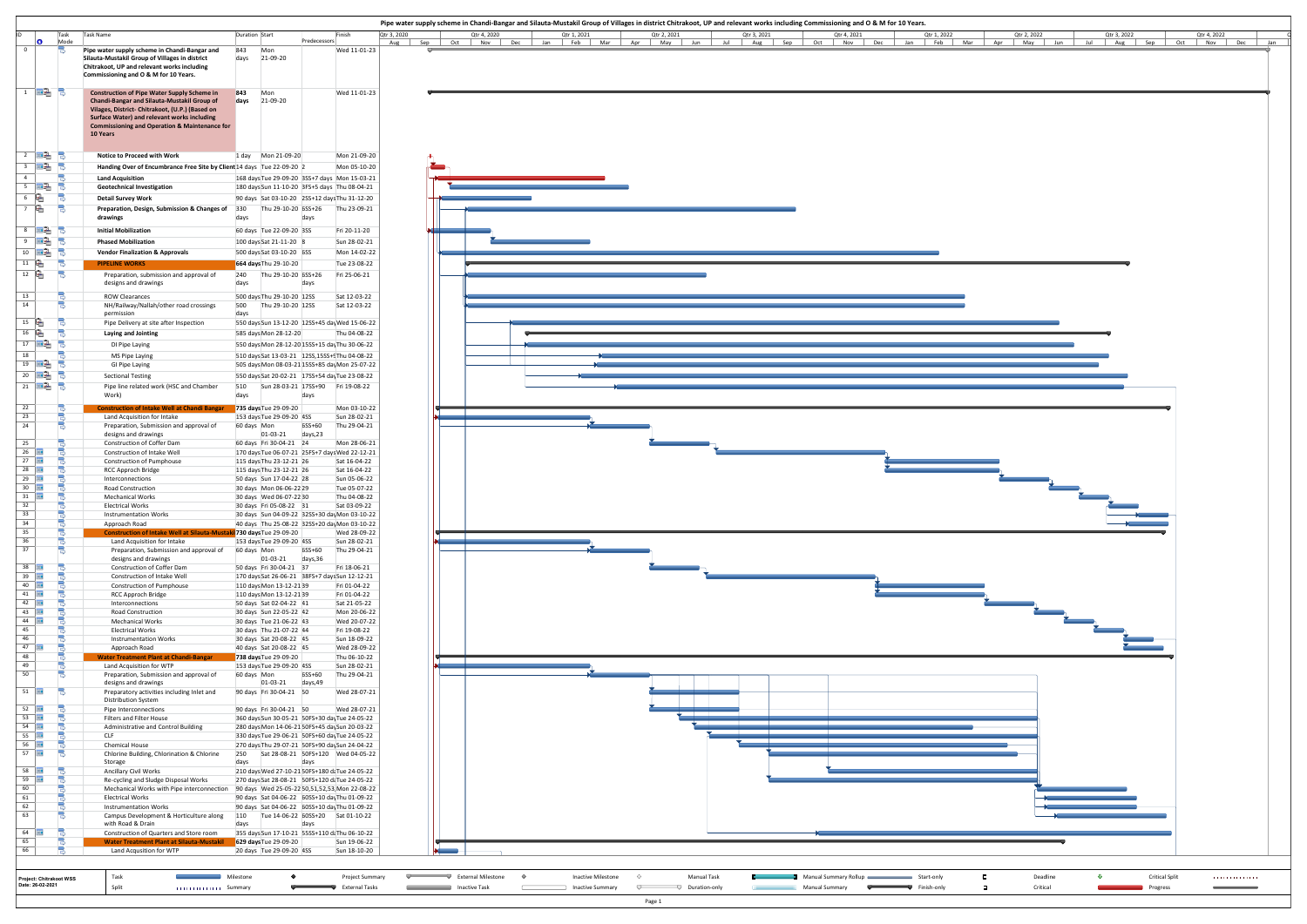| Pipe water supply scheme in Chandi-Bangar and Silauta-Mustakil Group of Villages in district Chitrakoot, UP and relevant works including Commissioning and O & M for 10 Years.<br>Task<br><b>Task Name</b><br>Duration Start<br>Finish<br>Qtr 3, 2020<br>Qtr 4, 2020<br>Qtr 3, 2021<br>Qtr 4, 2021<br>Qtr 1, 2022<br>Qtr 2, 2022<br>Qtr 3, 2022<br>Qtr 1, 2021<br>Qtr 2, 2021<br>ിക<br>Predecessors<br>Mode<br>Aug Sep Oct Nov Dec Jan Feb Mar Apr May Jun Jul Aug Sep Oct Nov Dec Jan Feb Mar Apr May Jun Jul Aug Sep Oct Nov Dec Jan<br>Pipe water supply scheme in Chandi-Bangar and<br>Mon<br>Wed 11-01-23<br>843<br>days 21-09-20<br>Silauta-Mustakil Group of Villages in district<br>Chitrakoot, UP and relevant works including<br>Commissioning and O & M for 10 Years.<br><b>Construction of Pipe Water Supply Scheme in</b><br>843<br>Mon<br>Wed 11-01-23<br>Chandi-Bangar and Silauta-Mustakil Group of<br>days 21-09-20<br>Vilages, District- Chitrakoot, (U.P.) (Based on<br>Surface Water) and relevant works including<br><b>Commissioning and Operation &amp; Maintenance for</b><br>10 Years<br>TEGA B<br>Notice to Proceed with Work<br>Mon 21-09-20<br>।⊞2, ੳ<br>Handing Over of Encumbrance Free Site by Client 14 days Tue 22-09-20 2<br>Mon 05-10-20<br>ెకె<br><b>Land Acquisition</b><br>168 days Tue 29-09-20 3SS+7 days Mon 15-03-21<br>$\Box$ $\Box$ $\Box$ $\Box$<br><b>Geotechnical Investigation</b><br>180 days Sun 11-10-20 3FS+5 days Thu 08-04-21<br>6<br>ුල<br><b>Detail Survey Work</b><br>90 days Sat 03-10-20 2SS+12 days Thu 31-12-20<br>$\mathbb{R}$<br>-3<br>Preparation, Design, Submission & Changes of 330<br>Thu 29-10-20 6SS+26<br>Thu 23-09-21<br>drawings<br>days<br>days<br>$\overline{\phantom{a}}$ $\overline{\phantom{a}}$ $\overline{\phantom{a}}$ $\overline{\phantom{a}}$ $\overline{\phantom{a}}$<br><b>Initial Mobilization</b><br>60 days Tue 22-09-20 3SS<br>Fri 20-11-20<br>$\overline{\mathbb{P}}$ $\mathbb{E}$ $\overline{\mathbb{P}}$<br><b>Phased Mobilization</b><br>100 days Sat 21-11-20 8<br>Sun 28-02-21<br>$10$ $\frac{10}{2}$<br><b>Vendor Finalization &amp; Approvals</b><br>500 days Sat 03-10-20 6SS<br>Mon 14-02-22<br>664 days Thu 29-10-20<br>Tue 23-08-22<br><b>PIPELINE WORKS</b><br>12<br>e<br>240 Thu 29-10-20 6SS+26<br>Fri 25-06-21<br>Preparation, submission and approval of<br>designs and drawings<br>days<br>days<br>500 days Thu 29-10-20 12SS<br>Sat 12-03-22<br>ROW Clearances<br>500 Thu 29-10-20 12SS<br>Sat 12-03-22<br>NH/Railway/Nallah/other road crossings<br>days<br>permission<br>R<br>$15$ $\frac{6}{1}$<br>Pipe Delivery at site after Inspection<br>550 days Sun 13-12-20 12SS+45 day Wed 15-06-22<br>16<br>$\Box$<br>Laying and Jointing<br>585 days Mon 28-12-20<br>Thu 04-08-22<br>$17$ $\overline{mQ}$<br>DI Pipe Laying<br>550 days Mon 28-12-20 15SS+15 day Thu 30-06-22<br>18<br>MS Pipe Laying<br>510 days Sat 13-03-21 12SS, 15SS+9Thu 04-08-22<br>$\frac{19}{19}$ $\frac{100}{100}$ $\frac{1}{3}$<br>GI Pipe Laying<br>505 days Mon 08-03-21 15SS+85 day Mon 25-07-22<br>$\overline{20}$ $\overline{m}$ 3<br><b>Sectional Testing</b><br>550 days Sat 20-02-21 17SS+54 dayTue 23-08-22<br>$\overline{21}$ $\overline{13}$ $\overline{3}$<br>510<br>Sun 28-03-21 17SS+90 Fri 19-08-22<br>Pipe line related work (HSC and Chamber<br>Work)<br>days<br>days<br>22<br><b>Construction of Intake Well at Chandi Bangar 735 days</b> Tue 29-09-20<br>Mon 03-10-22<br>23<br>Land Acquisition for Intake<br>153 days Tue 29-09-20 4SS<br>Sun 28-02-21<br>6SS+60<br>24<br>60 days Mon<br>Thu 29-04-21<br>Preparation, Submission and approval of<br>designs and drawings<br>01-03-21 days,23<br>25<br>60 days Fri 30-04-21 24<br>Mon 28-06-21<br>Construction of Coffer Dam<br>$26$   $\overline{111}$<br>170 days Tue 06-07-21 25FS+7 days Wed 22-12-21<br>Construction of Intake Well<br>27<br>Sat 16-04-22<br>Construction of Pumphouse<br>115 days Thu 23-12-21 26<br>28 $\Box$<br>Sat 16-04-22<br><b>RCC Approch Bridge</b><br>115 days Thu 23-12-21 26<br>$29$   H<br>Interconnections<br>50 days Sun 17-04-22 28<br>Sun 05-06-22<br>$30$ $\frac{1}{2}$<br>30 days Mon 06-06-22 29<br>Tue 05-07-22<br>Road Construction<br>31<br><b>Mechanical Works</b><br>30 days Wed 06-07-22 30<br>Thu 04-08-22<br>32<br>Sat 03-09-22<br><b>Electrical Works</b><br>30 days Fri 05-08-22 31<br>33<br><b>Instrumentation Works</b><br>30 days Sun 04-09-22 32SS+30 dayMon 03-10-22<br>34<br>40 days Thu 25-08-22 32SS+20 dayMon 03-10-22<br>Approach Road<br>35<br>Construction of Intake Well at Silauta-Mustaki 730 days Tue 29-09-20<br>Wed 28-09-22<br>36<br>Land Acquisition for Intake<br>153 days Tue 29-09-20 4SS<br>Sun 28-02-21<br>37<br>6SS+60<br>Preparation, Submission and approval of 60 days Mon<br>Thu 29-04-21<br>01-03-21<br>days,36<br>designs and drawings<br>$38$   $\text{H}$<br>50 days Fri 30-04-21 37<br>Fri 18-06-21<br>Construction of Coffer Dam<br>$39$ $\Box$<br>Construction of Intake Well<br>170 days Sat 26-06-21 38FS+7 days Sun 12-12-21<br>40  <br>Construction of Pumphouse<br>110 days Mon 13-12-2139<br>Fri 01-04-22<br>41  <br>Fri 01-04-22<br>RCC Approch Bridge<br>110 days Mon 13-12-2139<br>$42$ $\Box$<br>50 days Sat 02-04-22 41<br>Sat 21-05-22<br>Interconnections<br>43<br>Road Construction<br>30 days Sun 22-05-22 42<br>Mon 20-06-22<br>44<br>30 days Tue 21-06-22 43<br>Wed 20-07-22<br><b>Mechanical Works</b><br>45<br><b>Electrical Works</b><br>30 days Thu 21-07-22 44<br>Fri 19-08-22<br>46<br>Sun 18-09-22<br><b>Instrumentation Works</b><br>30 days Sat 20-08-22 45<br>$47$   HH<br>40 days Sat 20-08-22 45<br>Approach Road<br>Wed 28-09-22<br>48<br><b>Water Treatment Plant at Chandi-Bangar</b><br>738 days Tue 29-09-20<br>Thu 06-10-22<br>Sun 28-02-21<br>49<br>Land Acquisition for WTP<br>153 days Tue 29-09-20 4SS<br>50<br>6SS+60<br>Preparation, Submission and approval of<br>60 days Mon<br>Thu 29-04-21<br>01-03-21 days,49<br>designs and drawings<br>90 days Fri 30-04-21 50<br>Wed 28-07-21<br>Preparatory activities including Inlet and<br><b>Distribution System</b><br>$52$ $\frac{1}{2}$<br>90 days Fri 30-04-21 50<br>Pipe Interconnections<br>Wed 28-07-21<br>53<br>Filters and Filter House<br>360 days Sun 30-05-21 50FS+30 dayTue 24-05-22<br>$54$ $\overline{111}$<br>Administrative and Control Building<br>280 days Mon 14-06-21 50FS+45 daySun 20-03-22<br>55<br>CLF<br>330 days Tue 29-06-21 50FS+60 day Tue 24-05-22<br>$56$   $\text{H}$<br>Chemical House<br>270 days Thu 29-07-21 50FS+90 daySun 24-04-22<br>57<br>-9<br>Chlorine Building, Chlorination & Chlorine<br>250 Sat 28-08-21 50FS+120 Wed 04-05-22<br>Storage<br>days<br>days<br>$58$   $\overline{111}$<br>210 days Wed 27-10-21 50FS+180 daTue 24-05-22<br><b>Ancillary Civil Works</b><br>59<br>-<br>Re-cycling and Sludge Disposal Works<br>270 days Sat 28-08-21 50FS+120 daTue 24-05-22<br>Mechanical Works with Pipe interconnection 90 days Wed 25-05-22 50,51,52,53, Mon 22-08-22<br>61<br>90 days Sat 04-06-22 60SS+10 dayThu 01-09-22<br><b>Electrical Works</b><br>90 days Sat 04-06-22 60SS+10 dayThu 01-09-22<br><b>Instrumentation Works</b><br>-9<br>110 Tue 14-06-22 60SS+20 Sat 01-10-22<br>Campus Development & Horticulture along |                         |  |  |
|------------------------------------------------------------------------------------------------------------------------------------------------------------------------------------------------------------------------------------------------------------------------------------------------------------------------------------------------------------------------------------------------------------------------------------------------------------------------------------------------------------------------------------------------------------------------------------------------------------------------------------------------------------------------------------------------------------------------------------------------------------------------------------------------------------------------------------------------------------------------------------------------------------------------------------------------------------------------------------------------------------------------------------------------------------------------------------------------------------------------------------------------------------------------------------------------------------------------------------------------------------------------------------------------------------------------------------------------------------------------------------------------------------------------------------------------------------------------------------------------------------------------------------------------------------------------------------------------------------------------------------------------------------------------------------------------------------------------------------------------------------------------------------------------------------------------------------------------------------------------------------------------------------------------------------------------------------------------------------------------------------------------------------------------------------------------------------------------------------------------------------------------------------------------------------------------------------------------------------------------------------------------------------------------------------------------------------------------------------------------------------------------------------------------------------------------------------------------------------------------------------------------------------------------------------------------------------------------------------------------------------------------------------------------------------------------------------------------------------------------------------------------------------------------------------------------------------------------------------------------------------------------------------------------------------------------------------------------------------------------------------------------------------------------------------------------------------------------------------------------------------------------------------------------------------------------------------------------------------------------------------------------------------------------------------------------------------------------------------------------------------------------------------------------------------------------------------------------------------------------------------------------------------------------------------------------------------------------------------------------------------------------------------------------------------------------------------------------------------------------------------------------------------------------------------------------------------------------------------------------------------------------------------------------------------------------------------------------------------------------------------------------------------------------------------------------------------------------------------------------------------------------------------------------------------------------------------------------------------------------------------------------------------------------------------------------------------------------------------------------------------------------------------------------------------------------------------------------------------------------------------------------------------------------------------------------------------------------------------------------------------------------------------------------------------------------------------------------------------------------------------------------------------------------------------------------------------------------------------------------------------------------------------------------------------------------------------------------------------------------------------------------------------------------------------------------------------------------------------------------------------------------------------------------------------------------------------------------------------------------------------------------------------------------------------------------------------------------------------------------------------------------------------------------------------------------------------------------------------------------------------------------------------------------------------------------------------------------------------------------------------------------------------------------------------------------------------------------------------------------------------------------------------------------------------------------------------------------------------------------------------------------------------------------------------------------------------------------------------------------------------------------------------------------------------------------------------------------------------------------------------------------------------------------------------------------------------------------------------------------------------------------------------------------------------------------------------------------------------------------------------------------------------------------------------------------------------------------------------------------------------------------------------------------------------------------------------------------------------------------------------------------------------------------------------------------------------------------------------------------------------------------------------------------------------------------------------------------------------------------------------------------------------------------------------------------------------------------------------------------------------------------------------------------------------------------------------------------------------------------------------------------------------------------------------------------------------------------------------------------------------------------------------------------------------------------|-------------------------|--|--|
|                                                                                                                                                                                                                                                                                                                                                                                                                                                                                                                                                                                                                                                                                                                                                                                                                                                                                                                                                                                                                                                                                                                                                                                                                                                                                                                                                                                                                                                                                                                                                                                                                                                                                                                                                                                                                                                                                                                                                                                                                                                                                                                                                                                                                                                                                                                                                                                                                                                                                                                                                                                                                                                                                                                                                                                                                                                                                                                                                                                                                                                                                                                                                                                                                                                                                                                                                                                                                                                                                                                                                                                                                                                                                                                                                                                                                                                                                                                                                                                                                                                                                                                                                                                                                                                                                                                                                                                                                                                                                                                                                                                                                                                                                                                                                                                                                                                                                                                                                                                                                                                                                                                                                                                                                                                                                                                                                                                                                                                                                                                                                                                                                                                                                                                                                                                                                                                                                                                                                                                                                                                                                                                                                                                                                                                                                                                                                                                                                                                                                                                                                                                                                                                                                                                                                                                                                                                                                                                                                                                                                                                                                                                                                                                                                                                                                                                        | 0                       |  |  |
|                                                                                                                                                                                                                                                                                                                                                                                                                                                                                                                                                                                                                                                                                                                                                                                                                                                                                                                                                                                                                                                                                                                                                                                                                                                                                                                                                                                                                                                                                                                                                                                                                                                                                                                                                                                                                                                                                                                                                                                                                                                                                                                                                                                                                                                                                                                                                                                                                                                                                                                                                                                                                                                                                                                                                                                                                                                                                                                                                                                                                                                                                                                                                                                                                                                                                                                                                                                                                                                                                                                                                                                                                                                                                                                                                                                                                                                                                                                                                                                                                                                                                                                                                                                                                                                                                                                                                                                                                                                                                                                                                                                                                                                                                                                                                                                                                                                                                                                                                                                                                                                                                                                                                                                                                                                                                                                                                                                                                                                                                                                                                                                                                                                                                                                                                                                                                                                                                                                                                                                                                                                                                                                                                                                                                                                                                                                                                                                                                                                                                                                                                                                                                                                                                                                                                                                                                                                                                                                                                                                                                                                                                                                                                                                                                                                                                                                        |                         |  |  |
|                                                                                                                                                                                                                                                                                                                                                                                                                                                                                                                                                                                                                                                                                                                                                                                                                                                                                                                                                                                                                                                                                                                                                                                                                                                                                                                                                                                                                                                                                                                                                                                                                                                                                                                                                                                                                                                                                                                                                                                                                                                                                                                                                                                                                                                                                                                                                                                                                                                                                                                                                                                                                                                                                                                                                                                                                                                                                                                                                                                                                                                                                                                                                                                                                                                                                                                                                                                                                                                                                                                                                                                                                                                                                                                                                                                                                                                                                                                                                                                                                                                                                                                                                                                                                                                                                                                                                                                                                                                                                                                                                                                                                                                                                                                                                                                                                                                                                                                                                                                                                                                                                                                                                                                                                                                                                                                                                                                                                                                                                                                                                                                                                                                                                                                                                                                                                                                                                                                                                                                                                                                                                                                                                                                                                                                                                                                                                                                                                                                                                                                                                                                                                                                                                                                                                                                                                                                                                                                                                                                                                                                                                                                                                                                                                                                                                                                        |                         |  |  |
|                                                                                                                                                                                                                                                                                                                                                                                                                                                                                                                                                                                                                                                                                                                                                                                                                                                                                                                                                                                                                                                                                                                                                                                                                                                                                                                                                                                                                                                                                                                                                                                                                                                                                                                                                                                                                                                                                                                                                                                                                                                                                                                                                                                                                                                                                                                                                                                                                                                                                                                                                                                                                                                                                                                                                                                                                                                                                                                                                                                                                                                                                                                                                                                                                                                                                                                                                                                                                                                                                                                                                                                                                                                                                                                                                                                                                                                                                                                                                                                                                                                                                                                                                                                                                                                                                                                                                                                                                                                                                                                                                                                                                                                                                                                                                                                                                                                                                                                                                                                                                                                                                                                                                                                                                                                                                                                                                                                                                                                                                                                                                                                                                                                                                                                                                                                                                                                                                                                                                                                                                                                                                                                                                                                                                                                                                                                                                                                                                                                                                                                                                                                                                                                                                                                                                                                                                                                                                                                                                                                                                                                                                                                                                                                                                                                                                                                        | 4                       |  |  |
|                                                                                                                                                                                                                                                                                                                                                                                                                                                                                                                                                                                                                                                                                                                                                                                                                                                                                                                                                                                                                                                                                                                                                                                                                                                                                                                                                                                                                                                                                                                                                                                                                                                                                                                                                                                                                                                                                                                                                                                                                                                                                                                                                                                                                                                                                                                                                                                                                                                                                                                                                                                                                                                                                                                                                                                                                                                                                                                                                                                                                                                                                                                                                                                                                                                                                                                                                                                                                                                                                                                                                                                                                                                                                                                                                                                                                                                                                                                                                                                                                                                                                                                                                                                                                                                                                                                                                                                                                                                                                                                                                                                                                                                                                                                                                                                                                                                                                                                                                                                                                                                                                                                                                                                                                                                                                                                                                                                                                                                                                                                                                                                                                                                                                                                                                                                                                                                                                                                                                                                                                                                                                                                                                                                                                                                                                                                                                                                                                                                                                                                                                                                                                                                                                                                                                                                                                                                                                                                                                                                                                                                                                                                                                                                                                                                                                                                        |                         |  |  |
|                                                                                                                                                                                                                                                                                                                                                                                                                                                                                                                                                                                                                                                                                                                                                                                                                                                                                                                                                                                                                                                                                                                                                                                                                                                                                                                                                                                                                                                                                                                                                                                                                                                                                                                                                                                                                                                                                                                                                                                                                                                                                                                                                                                                                                                                                                                                                                                                                                                                                                                                                                                                                                                                                                                                                                                                                                                                                                                                                                                                                                                                                                                                                                                                                                                                                                                                                                                                                                                                                                                                                                                                                                                                                                                                                                                                                                                                                                                                                                                                                                                                                                                                                                                                                                                                                                                                                                                                                                                                                                                                                                                                                                                                                                                                                                                                                                                                                                                                                                                                                                                                                                                                                                                                                                                                                                                                                                                                                                                                                                                                                                                                                                                                                                                                                                                                                                                                                                                                                                                                                                                                                                                                                                                                                                                                                                                                                                                                                                                                                                                                                                                                                                                                                                                                                                                                                                                                                                                                                                                                                                                                                                                                                                                                                                                                                                                        |                         |  |  |
|                                                                                                                                                                                                                                                                                                                                                                                                                                                                                                                                                                                                                                                                                                                                                                                                                                                                                                                                                                                                                                                                                                                                                                                                                                                                                                                                                                                                                                                                                                                                                                                                                                                                                                                                                                                                                                                                                                                                                                                                                                                                                                                                                                                                                                                                                                                                                                                                                                                                                                                                                                                                                                                                                                                                                                                                                                                                                                                                                                                                                                                                                                                                                                                                                                                                                                                                                                                                                                                                                                                                                                                                                                                                                                                                                                                                                                                                                                                                                                                                                                                                                                                                                                                                                                                                                                                                                                                                                                                                                                                                                                                                                                                                                                                                                                                                                                                                                                                                                                                                                                                                                                                                                                                                                                                                                                                                                                                                                                                                                                                                                                                                                                                                                                                                                                                                                                                                                                                                                                                                                                                                                                                                                                                                                                                                                                                                                                                                                                                                                                                                                                                                                                                                                                                                                                                                                                                                                                                                                                                                                                                                                                                                                                                                                                                                                                                        | $11 \quad \blacksquare$ |  |  |
|                                                                                                                                                                                                                                                                                                                                                                                                                                                                                                                                                                                                                                                                                                                                                                                                                                                                                                                                                                                                                                                                                                                                                                                                                                                                                                                                                                                                                                                                                                                                                                                                                                                                                                                                                                                                                                                                                                                                                                                                                                                                                                                                                                                                                                                                                                                                                                                                                                                                                                                                                                                                                                                                                                                                                                                                                                                                                                                                                                                                                                                                                                                                                                                                                                                                                                                                                                                                                                                                                                                                                                                                                                                                                                                                                                                                                                                                                                                                                                                                                                                                                                                                                                                                                                                                                                                                                                                                                                                                                                                                                                                                                                                                                                                                                                                                                                                                                                                                                                                                                                                                                                                                                                                                                                                                                                                                                                                                                                                                                                                                                                                                                                                                                                                                                                                                                                                                                                                                                                                                                                                                                                                                                                                                                                                                                                                                                                                                                                                                                                                                                                                                                                                                                                                                                                                                                                                                                                                                                                                                                                                                                                                                                                                                                                                                                                                        | 13                      |  |  |
|                                                                                                                                                                                                                                                                                                                                                                                                                                                                                                                                                                                                                                                                                                                                                                                                                                                                                                                                                                                                                                                                                                                                                                                                                                                                                                                                                                                                                                                                                                                                                                                                                                                                                                                                                                                                                                                                                                                                                                                                                                                                                                                                                                                                                                                                                                                                                                                                                                                                                                                                                                                                                                                                                                                                                                                                                                                                                                                                                                                                                                                                                                                                                                                                                                                                                                                                                                                                                                                                                                                                                                                                                                                                                                                                                                                                                                                                                                                                                                                                                                                                                                                                                                                                                                                                                                                                                                                                                                                                                                                                                                                                                                                                                                                                                                                                                                                                                                                                                                                                                                                                                                                                                                                                                                                                                                                                                                                                                                                                                                                                                                                                                                                                                                                                                                                                                                                                                                                                                                                                                                                                                                                                                                                                                                                                                                                                                                                                                                                                                                                                                                                                                                                                                                                                                                                                                                                                                                                                                                                                                                                                                                                                                                                                                                                                                                                        | 14                      |  |  |
|                                                                                                                                                                                                                                                                                                                                                                                                                                                                                                                                                                                                                                                                                                                                                                                                                                                                                                                                                                                                                                                                                                                                                                                                                                                                                                                                                                                                                                                                                                                                                                                                                                                                                                                                                                                                                                                                                                                                                                                                                                                                                                                                                                                                                                                                                                                                                                                                                                                                                                                                                                                                                                                                                                                                                                                                                                                                                                                                                                                                                                                                                                                                                                                                                                                                                                                                                                                                                                                                                                                                                                                                                                                                                                                                                                                                                                                                                                                                                                                                                                                                                                                                                                                                                                                                                                                                                                                                                                                                                                                                                                                                                                                                                                                                                                                                                                                                                                                                                                                                                                                                                                                                                                                                                                                                                                                                                                                                                                                                                                                                                                                                                                                                                                                                                                                                                                                                                                                                                                                                                                                                                                                                                                                                                                                                                                                                                                                                                                                                                                                                                                                                                                                                                                                                                                                                                                                                                                                                                                                                                                                                                                                                                                                                                                                                                                                        |                         |  |  |
|                                                                                                                                                                                                                                                                                                                                                                                                                                                                                                                                                                                                                                                                                                                                                                                                                                                                                                                                                                                                                                                                                                                                                                                                                                                                                                                                                                                                                                                                                                                                                                                                                                                                                                                                                                                                                                                                                                                                                                                                                                                                                                                                                                                                                                                                                                                                                                                                                                                                                                                                                                                                                                                                                                                                                                                                                                                                                                                                                                                                                                                                                                                                                                                                                                                                                                                                                                                                                                                                                                                                                                                                                                                                                                                                                                                                                                                                                                                                                                                                                                                                                                                                                                                                                                                                                                                                                                                                                                                                                                                                                                                                                                                                                                                                                                                                                                                                                                                                                                                                                                                                                                                                                                                                                                                                                                                                                                                                                                                                                                                                                                                                                                                                                                                                                                                                                                                                                                                                                                                                                                                                                                                                                                                                                                                                                                                                                                                                                                                                                                                                                                                                                                                                                                                                                                                                                                                                                                                                                                                                                                                                                                                                                                                                                                                                                                                        |                         |  |  |
|                                                                                                                                                                                                                                                                                                                                                                                                                                                                                                                                                                                                                                                                                                                                                                                                                                                                                                                                                                                                                                                                                                                                                                                                                                                                                                                                                                                                                                                                                                                                                                                                                                                                                                                                                                                                                                                                                                                                                                                                                                                                                                                                                                                                                                                                                                                                                                                                                                                                                                                                                                                                                                                                                                                                                                                                                                                                                                                                                                                                                                                                                                                                                                                                                                                                                                                                                                                                                                                                                                                                                                                                                                                                                                                                                                                                                                                                                                                                                                                                                                                                                                                                                                                                                                                                                                                                                                                                                                                                                                                                                                                                                                                                                                                                                                                                                                                                                                                                                                                                                                                                                                                                                                                                                                                                                                                                                                                                                                                                                                                                                                                                                                                                                                                                                                                                                                                                                                                                                                                                                                                                                                                                                                                                                                                                                                                                                                                                                                                                                                                                                                                                                                                                                                                                                                                                                                                                                                                                                                                                                                                                                                                                                                                                                                                                                                                        |                         |  |  |
|                                                                                                                                                                                                                                                                                                                                                                                                                                                                                                                                                                                                                                                                                                                                                                                                                                                                                                                                                                                                                                                                                                                                                                                                                                                                                                                                                                                                                                                                                                                                                                                                                                                                                                                                                                                                                                                                                                                                                                                                                                                                                                                                                                                                                                                                                                                                                                                                                                                                                                                                                                                                                                                                                                                                                                                                                                                                                                                                                                                                                                                                                                                                                                                                                                                                                                                                                                                                                                                                                                                                                                                                                                                                                                                                                                                                                                                                                                                                                                                                                                                                                                                                                                                                                                                                                                                                                                                                                                                                                                                                                                                                                                                                                                                                                                                                                                                                                                                                                                                                                                                                                                                                                                                                                                                                                                                                                                                                                                                                                                                                                                                                                                                                                                                                                                                                                                                                                                                                                                                                                                                                                                                                                                                                                                                                                                                                                                                                                                                                                                                                                                                                                                                                                                                                                                                                                                                                                                                                                                                                                                                                                                                                                                                                                                                                                                                        |                         |  |  |
|                                                                                                                                                                                                                                                                                                                                                                                                                                                                                                                                                                                                                                                                                                                                                                                                                                                                                                                                                                                                                                                                                                                                                                                                                                                                                                                                                                                                                                                                                                                                                                                                                                                                                                                                                                                                                                                                                                                                                                                                                                                                                                                                                                                                                                                                                                                                                                                                                                                                                                                                                                                                                                                                                                                                                                                                                                                                                                                                                                                                                                                                                                                                                                                                                                                                                                                                                                                                                                                                                                                                                                                                                                                                                                                                                                                                                                                                                                                                                                                                                                                                                                                                                                                                                                                                                                                                                                                                                                                                                                                                                                                                                                                                                                                                                                                                                                                                                                                                                                                                                                                                                                                                                                                                                                                                                                                                                                                                                                                                                                                                                                                                                                                                                                                                                                                                                                                                                                                                                                                                                                                                                                                                                                                                                                                                                                                                                                                                                                                                                                                                                                                                                                                                                                                                                                                                                                                                                                                                                                                                                                                                                                                                                                                                                                                                                                                        |                         |  |  |
|                                                                                                                                                                                                                                                                                                                                                                                                                                                                                                                                                                                                                                                                                                                                                                                                                                                                                                                                                                                                                                                                                                                                                                                                                                                                                                                                                                                                                                                                                                                                                                                                                                                                                                                                                                                                                                                                                                                                                                                                                                                                                                                                                                                                                                                                                                                                                                                                                                                                                                                                                                                                                                                                                                                                                                                                                                                                                                                                                                                                                                                                                                                                                                                                                                                                                                                                                                                                                                                                                                                                                                                                                                                                                                                                                                                                                                                                                                                                                                                                                                                                                                                                                                                                                                                                                                                                                                                                                                                                                                                                                                                                                                                                                                                                                                                                                                                                                                                                                                                                                                                                                                                                                                                                                                                                                                                                                                                                                                                                                                                                                                                                                                                                                                                                                                                                                                                                                                                                                                                                                                                                                                                                                                                                                                                                                                                                                                                                                                                                                                                                                                                                                                                                                                                                                                                                                                                                                                                                                                                                                                                                                                                                                                                                                                                                                                                        |                         |  |  |
|                                                                                                                                                                                                                                                                                                                                                                                                                                                                                                                                                                                                                                                                                                                                                                                                                                                                                                                                                                                                                                                                                                                                                                                                                                                                                                                                                                                                                                                                                                                                                                                                                                                                                                                                                                                                                                                                                                                                                                                                                                                                                                                                                                                                                                                                                                                                                                                                                                                                                                                                                                                                                                                                                                                                                                                                                                                                                                                                                                                                                                                                                                                                                                                                                                                                                                                                                                                                                                                                                                                                                                                                                                                                                                                                                                                                                                                                                                                                                                                                                                                                                                                                                                                                                                                                                                                                                                                                                                                                                                                                                                                                                                                                                                                                                                                                                                                                                                                                                                                                                                                                                                                                                                                                                                                                                                                                                                                                                                                                                                                                                                                                                                                                                                                                                                                                                                                                                                                                                                                                                                                                                                                                                                                                                                                                                                                                                                                                                                                                                                                                                                                                                                                                                                                                                                                                                                                                                                                                                                                                                                                                                                                                                                                                                                                                                                                        |                         |  |  |
|                                                                                                                                                                                                                                                                                                                                                                                                                                                                                                                                                                                                                                                                                                                                                                                                                                                                                                                                                                                                                                                                                                                                                                                                                                                                                                                                                                                                                                                                                                                                                                                                                                                                                                                                                                                                                                                                                                                                                                                                                                                                                                                                                                                                                                                                                                                                                                                                                                                                                                                                                                                                                                                                                                                                                                                                                                                                                                                                                                                                                                                                                                                                                                                                                                                                                                                                                                                                                                                                                                                                                                                                                                                                                                                                                                                                                                                                                                                                                                                                                                                                                                                                                                                                                                                                                                                                                                                                                                                                                                                                                                                                                                                                                                                                                                                                                                                                                                                                                                                                                                                                                                                                                                                                                                                                                                                                                                                                                                                                                                                                                                                                                                                                                                                                                                                                                                                                                                                                                                                                                                                                                                                                                                                                                                                                                                                                                                                                                                                                                                                                                                                                                                                                                                                                                                                                                                                                                                                                                                                                                                                                                                                                                                                                                                                                                                                        |                         |  |  |
|                                                                                                                                                                                                                                                                                                                                                                                                                                                                                                                                                                                                                                                                                                                                                                                                                                                                                                                                                                                                                                                                                                                                                                                                                                                                                                                                                                                                                                                                                                                                                                                                                                                                                                                                                                                                                                                                                                                                                                                                                                                                                                                                                                                                                                                                                                                                                                                                                                                                                                                                                                                                                                                                                                                                                                                                                                                                                                                                                                                                                                                                                                                                                                                                                                                                                                                                                                                                                                                                                                                                                                                                                                                                                                                                                                                                                                                                                                                                                                                                                                                                                                                                                                                                                                                                                                                                                                                                                                                                                                                                                                                                                                                                                                                                                                                                                                                                                                                                                                                                                                                                                                                                                                                                                                                                                                                                                                                                                                                                                                                                                                                                                                                                                                                                                                                                                                                                                                                                                                                                                                                                                                                                                                                                                                                                                                                                                                                                                                                                                                                                                                                                                                                                                                                                                                                                                                                                                                                                                                                                                                                                                                                                                                                                                                                                                                                        |                         |  |  |
|                                                                                                                                                                                                                                                                                                                                                                                                                                                                                                                                                                                                                                                                                                                                                                                                                                                                                                                                                                                                                                                                                                                                                                                                                                                                                                                                                                                                                                                                                                                                                                                                                                                                                                                                                                                                                                                                                                                                                                                                                                                                                                                                                                                                                                                                                                                                                                                                                                                                                                                                                                                                                                                                                                                                                                                                                                                                                                                                                                                                                                                                                                                                                                                                                                                                                                                                                                                                                                                                                                                                                                                                                                                                                                                                                                                                                                                                                                                                                                                                                                                                                                                                                                                                                                                                                                                                                                                                                                                                                                                                                                                                                                                                                                                                                                                                                                                                                                                                                                                                                                                                                                                                                                                                                                                                                                                                                                                                                                                                                                                                                                                                                                                                                                                                                                                                                                                                                                                                                                                                                                                                                                                                                                                                                                                                                                                                                                                                                                                                                                                                                                                                                                                                                                                                                                                                                                                                                                                                                                                                                                                                                                                                                                                                                                                                                                                        |                         |  |  |
|                                                                                                                                                                                                                                                                                                                                                                                                                                                                                                                                                                                                                                                                                                                                                                                                                                                                                                                                                                                                                                                                                                                                                                                                                                                                                                                                                                                                                                                                                                                                                                                                                                                                                                                                                                                                                                                                                                                                                                                                                                                                                                                                                                                                                                                                                                                                                                                                                                                                                                                                                                                                                                                                                                                                                                                                                                                                                                                                                                                                                                                                                                                                                                                                                                                                                                                                                                                                                                                                                                                                                                                                                                                                                                                                                                                                                                                                                                                                                                                                                                                                                                                                                                                                                                                                                                                                                                                                                                                                                                                                                                                                                                                                                                                                                                                                                                                                                                                                                                                                                                                                                                                                                                                                                                                                                                                                                                                                                                                                                                                                                                                                                                                                                                                                                                                                                                                                                                                                                                                                                                                                                                                                                                                                                                                                                                                                                                                                                                                                                                                                                                                                                                                                                                                                                                                                                                                                                                                                                                                                                                                                                                                                                                                                                                                                                                                        |                         |  |  |
|                                                                                                                                                                                                                                                                                                                                                                                                                                                                                                                                                                                                                                                                                                                                                                                                                                                                                                                                                                                                                                                                                                                                                                                                                                                                                                                                                                                                                                                                                                                                                                                                                                                                                                                                                                                                                                                                                                                                                                                                                                                                                                                                                                                                                                                                                                                                                                                                                                                                                                                                                                                                                                                                                                                                                                                                                                                                                                                                                                                                                                                                                                                                                                                                                                                                                                                                                                                                                                                                                                                                                                                                                                                                                                                                                                                                                                                                                                                                                                                                                                                                                                                                                                                                                                                                                                                                                                                                                                                                                                                                                                                                                                                                                                                                                                                                                                                                                                                                                                                                                                                                                                                                                                                                                                                                                                                                                                                                                                                                                                                                                                                                                                                                                                                                                                                                                                                                                                                                                                                                                                                                                                                                                                                                                                                                                                                                                                                                                                                                                                                                                                                                                                                                                                                                                                                                                                                                                                                                                                                                                                                                                                                                                                                                                                                                                                                        |                         |  |  |
|                                                                                                                                                                                                                                                                                                                                                                                                                                                                                                                                                                                                                                                                                                                                                                                                                                                                                                                                                                                                                                                                                                                                                                                                                                                                                                                                                                                                                                                                                                                                                                                                                                                                                                                                                                                                                                                                                                                                                                                                                                                                                                                                                                                                                                                                                                                                                                                                                                                                                                                                                                                                                                                                                                                                                                                                                                                                                                                                                                                                                                                                                                                                                                                                                                                                                                                                                                                                                                                                                                                                                                                                                                                                                                                                                                                                                                                                                                                                                                                                                                                                                                                                                                                                                                                                                                                                                                                                                                                                                                                                                                                                                                                                                                                                                                                                                                                                                                                                                                                                                                                                                                                                                                                                                                                                                                                                                                                                                                                                                                                                                                                                                                                                                                                                                                                                                                                                                                                                                                                                                                                                                                                                                                                                                                                                                                                                                                                                                                                                                                                                                                                                                                                                                                                                                                                                                                                                                                                                                                                                                                                                                                                                                                                                                                                                                                                        |                         |  |  |
|                                                                                                                                                                                                                                                                                                                                                                                                                                                                                                                                                                                                                                                                                                                                                                                                                                                                                                                                                                                                                                                                                                                                                                                                                                                                                                                                                                                                                                                                                                                                                                                                                                                                                                                                                                                                                                                                                                                                                                                                                                                                                                                                                                                                                                                                                                                                                                                                                                                                                                                                                                                                                                                                                                                                                                                                                                                                                                                                                                                                                                                                                                                                                                                                                                                                                                                                                                                                                                                                                                                                                                                                                                                                                                                                                                                                                                                                                                                                                                                                                                                                                                                                                                                                                                                                                                                                                                                                                                                                                                                                                                                                                                                                                                                                                                                                                                                                                                                                                                                                                                                                                                                                                                                                                                                                                                                                                                                                                                                                                                                                                                                                                                                                                                                                                                                                                                                                                                                                                                                                                                                                                                                                                                                                                                                                                                                                                                                                                                                                                                                                                                                                                                                                                                                                                                                                                                                                                                                                                                                                                                                                                                                                                                                                                                                                                                                        |                         |  |  |
|                                                                                                                                                                                                                                                                                                                                                                                                                                                                                                                                                                                                                                                                                                                                                                                                                                                                                                                                                                                                                                                                                                                                                                                                                                                                                                                                                                                                                                                                                                                                                                                                                                                                                                                                                                                                                                                                                                                                                                                                                                                                                                                                                                                                                                                                                                                                                                                                                                                                                                                                                                                                                                                                                                                                                                                                                                                                                                                                                                                                                                                                                                                                                                                                                                                                                                                                                                                                                                                                                                                                                                                                                                                                                                                                                                                                                                                                                                                                                                                                                                                                                                                                                                                                                                                                                                                                                                                                                                                                                                                                                                                                                                                                                                                                                                                                                                                                                                                                                                                                                                                                                                                                                                                                                                                                                                                                                                                                                                                                                                                                                                                                                                                                                                                                                                                                                                                                                                                                                                                                                                                                                                                                                                                                                                                                                                                                                                                                                                                                                                                                                                                                                                                                                                                                                                                                                                                                                                                                                                                                                                                                                                                                                                                                                                                                                                                        |                         |  |  |
|                                                                                                                                                                                                                                                                                                                                                                                                                                                                                                                                                                                                                                                                                                                                                                                                                                                                                                                                                                                                                                                                                                                                                                                                                                                                                                                                                                                                                                                                                                                                                                                                                                                                                                                                                                                                                                                                                                                                                                                                                                                                                                                                                                                                                                                                                                                                                                                                                                                                                                                                                                                                                                                                                                                                                                                                                                                                                                                                                                                                                                                                                                                                                                                                                                                                                                                                                                                                                                                                                                                                                                                                                                                                                                                                                                                                                                                                                                                                                                                                                                                                                                                                                                                                                                                                                                                                                                                                                                                                                                                                                                                                                                                                                                                                                                                                                                                                                                                                                                                                                                                                                                                                                                                                                                                                                                                                                                                                                                                                                                                                                                                                                                                                                                                                                                                                                                                                                                                                                                                                                                                                                                                                                                                                                                                                                                                                                                                                                                                                                                                                                                                                                                                                                                                                                                                                                                                                                                                                                                                                                                                                                                                                                                                                                                                                                                                        |                         |  |  |
|                                                                                                                                                                                                                                                                                                                                                                                                                                                                                                                                                                                                                                                                                                                                                                                                                                                                                                                                                                                                                                                                                                                                                                                                                                                                                                                                                                                                                                                                                                                                                                                                                                                                                                                                                                                                                                                                                                                                                                                                                                                                                                                                                                                                                                                                                                                                                                                                                                                                                                                                                                                                                                                                                                                                                                                                                                                                                                                                                                                                                                                                                                                                                                                                                                                                                                                                                                                                                                                                                                                                                                                                                                                                                                                                                                                                                                                                                                                                                                                                                                                                                                                                                                                                                                                                                                                                                                                                                                                                                                                                                                                                                                                                                                                                                                                                                                                                                                                                                                                                                                                                                                                                                                                                                                                                                                                                                                                                                                                                                                                                                                                                                                                                                                                                                                                                                                                                                                                                                                                                                                                                                                                                                                                                                                                                                                                                                                                                                                                                                                                                                                                                                                                                                                                                                                                                                                                                                                                                                                                                                                                                                                                                                                                                                                                                                                                        |                         |  |  |
|                                                                                                                                                                                                                                                                                                                                                                                                                                                                                                                                                                                                                                                                                                                                                                                                                                                                                                                                                                                                                                                                                                                                                                                                                                                                                                                                                                                                                                                                                                                                                                                                                                                                                                                                                                                                                                                                                                                                                                                                                                                                                                                                                                                                                                                                                                                                                                                                                                                                                                                                                                                                                                                                                                                                                                                                                                                                                                                                                                                                                                                                                                                                                                                                                                                                                                                                                                                                                                                                                                                                                                                                                                                                                                                                                                                                                                                                                                                                                                                                                                                                                                                                                                                                                                                                                                                                                                                                                                                                                                                                                                                                                                                                                                                                                                                                                                                                                                                                                                                                                                                                                                                                                                                                                                                                                                                                                                                                                                                                                                                                                                                                                                                                                                                                                                                                                                                                                                                                                                                                                                                                                                                                                                                                                                                                                                                                                                                                                                                                                                                                                                                                                                                                                                                                                                                                                                                                                                                                                                                                                                                                                                                                                                                                                                                                                                                        |                         |  |  |
|                                                                                                                                                                                                                                                                                                                                                                                                                                                                                                                                                                                                                                                                                                                                                                                                                                                                                                                                                                                                                                                                                                                                                                                                                                                                                                                                                                                                                                                                                                                                                                                                                                                                                                                                                                                                                                                                                                                                                                                                                                                                                                                                                                                                                                                                                                                                                                                                                                                                                                                                                                                                                                                                                                                                                                                                                                                                                                                                                                                                                                                                                                                                                                                                                                                                                                                                                                                                                                                                                                                                                                                                                                                                                                                                                                                                                                                                                                                                                                                                                                                                                                                                                                                                                                                                                                                                                                                                                                                                                                                                                                                                                                                                                                                                                                                                                                                                                                                                                                                                                                                                                                                                                                                                                                                                                                                                                                                                                                                                                                                                                                                                                                                                                                                                                                                                                                                                                                                                                                                                                                                                                                                                                                                                                                                                                                                                                                                                                                                                                                                                                                                                                                                                                                                                                                                                                                                                                                                                                                                                                                                                                                                                                                                                                                                                                                                        |                         |  |  |
|                                                                                                                                                                                                                                                                                                                                                                                                                                                                                                                                                                                                                                                                                                                                                                                                                                                                                                                                                                                                                                                                                                                                                                                                                                                                                                                                                                                                                                                                                                                                                                                                                                                                                                                                                                                                                                                                                                                                                                                                                                                                                                                                                                                                                                                                                                                                                                                                                                                                                                                                                                                                                                                                                                                                                                                                                                                                                                                                                                                                                                                                                                                                                                                                                                                                                                                                                                                                                                                                                                                                                                                                                                                                                                                                                                                                                                                                                                                                                                                                                                                                                                                                                                                                                                                                                                                                                                                                                                                                                                                                                                                                                                                                                                                                                                                                                                                                                                                                                                                                                                                                                                                                                                                                                                                                                                                                                                                                                                                                                                                                                                                                                                                                                                                                                                                                                                                                                                                                                                                                                                                                                                                                                                                                                                                                                                                                                                                                                                                                                                                                                                                                                                                                                                                                                                                                                                                                                                                                                                                                                                                                                                                                                                                                                                                                                                                        |                         |  |  |
|                                                                                                                                                                                                                                                                                                                                                                                                                                                                                                                                                                                                                                                                                                                                                                                                                                                                                                                                                                                                                                                                                                                                                                                                                                                                                                                                                                                                                                                                                                                                                                                                                                                                                                                                                                                                                                                                                                                                                                                                                                                                                                                                                                                                                                                                                                                                                                                                                                                                                                                                                                                                                                                                                                                                                                                                                                                                                                                                                                                                                                                                                                                                                                                                                                                                                                                                                                                                                                                                                                                                                                                                                                                                                                                                                                                                                                                                                                                                                                                                                                                                                                                                                                                                                                                                                                                                                                                                                                                                                                                                                                                                                                                                                                                                                                                                                                                                                                                                                                                                                                                                                                                                                                                                                                                                                                                                                                                                                                                                                                                                                                                                                                                                                                                                                                                                                                                                                                                                                                                                                                                                                                                                                                                                                                                                                                                                                                                                                                                                                                                                                                                                                                                                                                                                                                                                                                                                                                                                                                                                                                                                                                                                                                                                                                                                                                                        | 60                      |  |  |
|                                                                                                                                                                                                                                                                                                                                                                                                                                                                                                                                                                                                                                                                                                                                                                                                                                                                                                                                                                                                                                                                                                                                                                                                                                                                                                                                                                                                                                                                                                                                                                                                                                                                                                                                                                                                                                                                                                                                                                                                                                                                                                                                                                                                                                                                                                                                                                                                                                                                                                                                                                                                                                                                                                                                                                                                                                                                                                                                                                                                                                                                                                                                                                                                                                                                                                                                                                                                                                                                                                                                                                                                                                                                                                                                                                                                                                                                                                                                                                                                                                                                                                                                                                                                                                                                                                                                                                                                                                                                                                                                                                                                                                                                                                                                                                                                                                                                                                                                                                                                                                                                                                                                                                                                                                                                                                                                                                                                                                                                                                                                                                                                                                                                                                                                                                                                                                                                                                                                                                                                                                                                                                                                                                                                                                                                                                                                                                                                                                                                                                                                                                                                                                                                                                                                                                                                                                                                                                                                                                                                                                                                                                                                                                                                                                                                                                                        | 62<br>63                |  |  |
| with Road & Drain<br>days<br>days<br>64<br>Construction of Quarters and Store room<br>355 days Sun 17-10-21 55SS+110 daThu 06-10-22<br>65                                                                                                                                                                                                                                                                                                                                                                                                                                                                                                                                                                                                                                                                                                                                                                                                                                                                                                                                                                                                                                                                                                                                                                                                                                                                                                                                                                                                                                                                                                                                                                                                                                                                                                                                                                                                                                                                                                                                                                                                                                                                                                                                                                                                                                                                                                                                                                                                                                                                                                                                                                                                                                                                                                                                                                                                                                                                                                                                                                                                                                                                                                                                                                                                                                                                                                                                                                                                                                                                                                                                                                                                                                                                                                                                                                                                                                                                                                                                                                                                                                                                                                                                                                                                                                                                                                                                                                                                                                                                                                                                                                                                                                                                                                                                                                                                                                                                                                                                                                                                                                                                                                                                                                                                                                                                                                                                                                                                                                                                                                                                                                                                                                                                                                                                                                                                                                                                                                                                                                                                                                                                                                                                                                                                                                                                                                                                                                                                                                                                                                                                                                                                                                                                                                                                                                                                                                                                                                                                                                                                                                                                                                                                                                              |                         |  |  |

|   |              |                       |               |                  | Page |               |                       |               |
|---|--------------|-----------------------|---------------|------------------|------|---------------|-----------------------|---------------|
|   | summary<br>  | <b>External Tasks</b> | Inactive Task | Inactive Summary |      | Duration-only | <b>Manual Summary</b> | Finish-on     |
| . | . <b>. .</b> | . . <b>. .</b>        | _____         | <b> </b>         |      |               |                       | _ _ _ _ _ _ _ |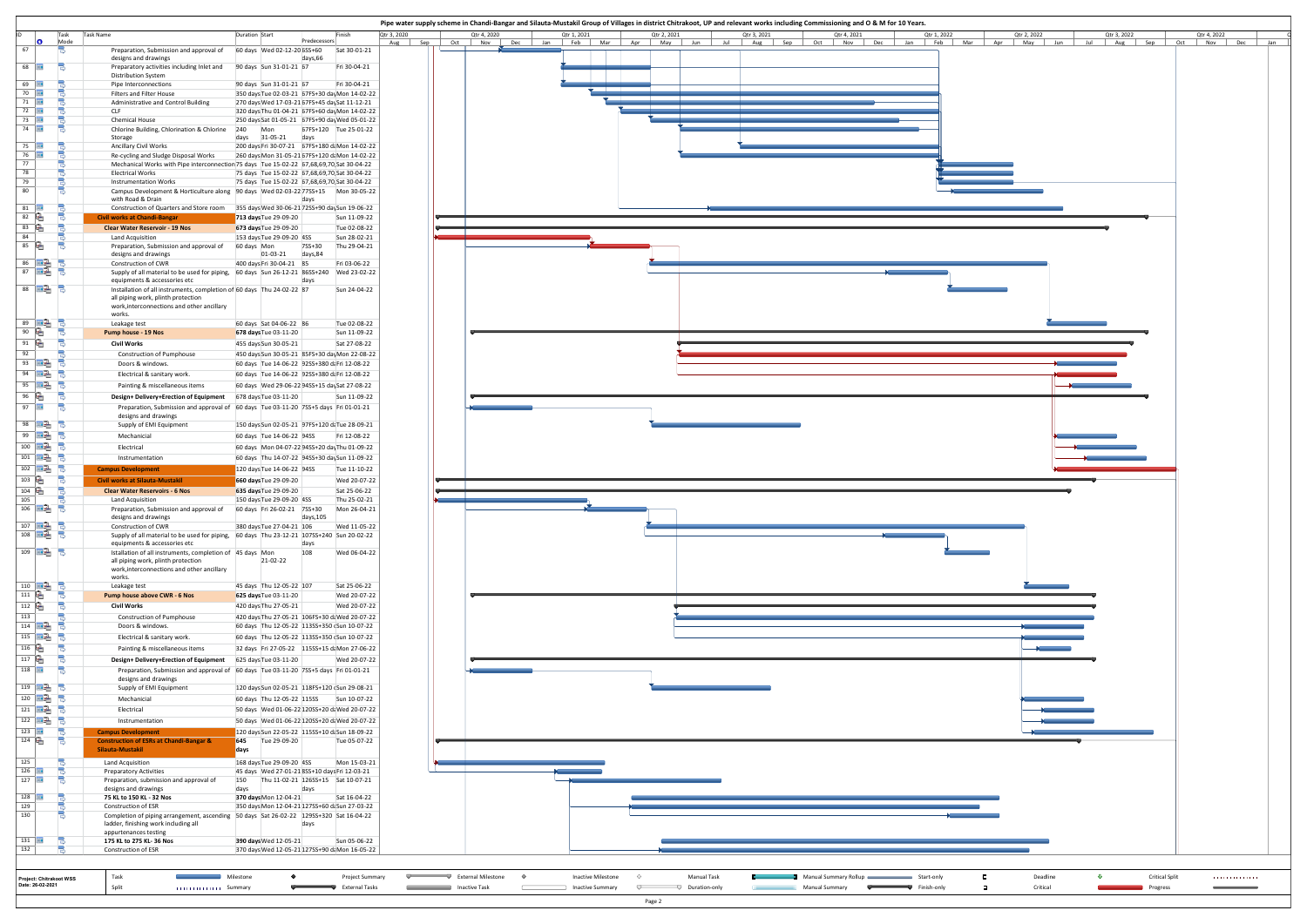| Predecessors<br>60 days Wed 02-12-20 6SS+60<br>Sat 30-01-21<br>days,66<br>90 days Sun 31-01-21 67<br>Fri 30-04-21<br>90 days Sun 31-01-21 67<br>Fri 30-04-21<br>350 days Tue 02-03-21 67FS+30 day Mon 14-02-22<br>270 days Wed 17-03-21 67FS+45 daySat 11-12-21<br>320 days Thu 01-04-21 67FS+60 day Mon 14-02-22<br>250 days Sat 01-05-21 67FS+90 day Wed 05-01-22<br>Mon<br>67FS+120 Tue 25-01-22<br>days 31-05-21<br>days<br>200 days Fri 30-07-21 67FS+180 daMon 14-02-22<br>260 days Mon 31-05-21 67FS+120 daMon 14-02-22<br>Mechanical Works with Pipe interconnection 75 days Tue 15-02-22 67,68,69,70, Sat 30-04-22<br>75 days Tue 15-02-22 67,68,69,70, Sat 30-04-22<br>75 days Tue 15-02-22 67,68,69,70, Sat 30-04-22<br>Campus Development & Horticulture along 90 days Wed 02-03-22 77SS+15 Mon 30-05-22<br>days<br>355 days Wed 30-06-21 72SS+90 daySun 19-06-22<br>713 days Tue 29-09-20<br>Sun 11-09-22<br>673 days Tue 29-09-20<br>Tue 02-08-22<br>153 days Tue 29-09-20 4SS<br>Sun 28-02-21<br>7SS+30<br>Thu 29-04-21<br>60 days Mon<br>01-03-21 days,84<br>400 days Fri 30-04-21 85<br>Fri 03-06-22<br>Supply of all material to be used for piping, 60 days Sun 26-12-21 86SS+240 Wed 23-02-22<br>days<br>Installation of all instruments, completion of 60 days Thu 24-02-22 87<br>Sun 24-04-22<br>60 days Sat 04-06-22 86<br>Tue 02-08-22<br>678 days Tue 03-11-20<br>Sun 11-09-22<br>Sat 27-08-22<br>455 days Sun 30-05-21<br>450 days Sun 30-05-21 85FS+30 day Mon 22-08-22<br>60 days Tue 14-06-22 92SS+380 daFri 12-08-22<br>60 days Tue 14-06-22 92SS+380 daFri 12-08-22 | Aug Sep<br>Oct                             | Nov<br>Dec<br>Feb  <br>Mar<br>Apr<br>May<br>Jun<br>Jul<br>Aug Sep<br>Oct<br>Nov  <br>Dec<br>Jan<br>Feb<br>Mar<br>Apr<br>May<br>Jan |
|----------------------------------------------------------------------------------------------------------------------------------------------------------------------------------------------------------------------------------------------------------------------------------------------------------------------------------------------------------------------------------------------------------------------------------------------------------------------------------------------------------------------------------------------------------------------------------------------------------------------------------------------------------------------------------------------------------------------------------------------------------------------------------------------------------------------------------------------------------------------------------------------------------------------------------------------------------------------------------------------------------------------------------------------------------------------------------------------------------------------------------------------------------------------------------------------------------------------------------------------------------------------------------------------------------------------------------------------------------------------------------------------------------------------------------------------------------------------------------------------------------------------------------------------------------------------------------------------------|--------------------------------------------|------------------------------------------------------------------------------------------------------------------------------------|
|                                                                                                                                                                                                                                                                                                                                                                                                                                                                                                                                                                                                                                                                                                                                                                                                                                                                                                                                                                                                                                                                                                                                                                                                                                                                                                                                                                                                                                                                                                                                                                                                    |                                            |                                                                                                                                    |
|                                                                                                                                                                                                                                                                                                                                                                                                                                                                                                                                                                                                                                                                                                                                                                                                                                                                                                                                                                                                                                                                                                                                                                                                                                                                                                                                                                                                                                                                                                                                                                                                    |                                            |                                                                                                                                    |
|                                                                                                                                                                                                                                                                                                                                                                                                                                                                                                                                                                                                                                                                                                                                                                                                                                                                                                                                                                                                                                                                                                                                                                                                                                                                                                                                                                                                                                                                                                                                                                                                    |                                            |                                                                                                                                    |
|                                                                                                                                                                                                                                                                                                                                                                                                                                                                                                                                                                                                                                                                                                                                                                                                                                                                                                                                                                                                                                                                                                                                                                                                                                                                                                                                                                                                                                                                                                                                                                                                    |                                            |                                                                                                                                    |
|                                                                                                                                                                                                                                                                                                                                                                                                                                                                                                                                                                                                                                                                                                                                                                                                                                                                                                                                                                                                                                                                                                                                                                                                                                                                                                                                                                                                                                                                                                                                                                                                    |                                            |                                                                                                                                    |
|                                                                                                                                                                                                                                                                                                                                                                                                                                                                                                                                                                                                                                                                                                                                                                                                                                                                                                                                                                                                                                                                                                                                                                                                                                                                                                                                                                                                                                                                                                                                                                                                    |                                            |                                                                                                                                    |
|                                                                                                                                                                                                                                                                                                                                                                                                                                                                                                                                                                                                                                                                                                                                                                                                                                                                                                                                                                                                                                                                                                                                                                                                                                                                                                                                                                                                                                                                                                                                                                                                    |                                            |                                                                                                                                    |
|                                                                                                                                                                                                                                                                                                                                                                                                                                                                                                                                                                                                                                                                                                                                                                                                                                                                                                                                                                                                                                                                                                                                                                                                                                                                                                                                                                                                                                                                                                                                                                                                    |                                            |                                                                                                                                    |
|                                                                                                                                                                                                                                                                                                                                                                                                                                                                                                                                                                                                                                                                                                                                                                                                                                                                                                                                                                                                                                                                                                                                                                                                                                                                                                                                                                                                                                                                                                                                                                                                    |                                            |                                                                                                                                    |
|                                                                                                                                                                                                                                                                                                                                                                                                                                                                                                                                                                                                                                                                                                                                                                                                                                                                                                                                                                                                                                                                                                                                                                                                                                                                                                                                                                                                                                                                                                                                                                                                    |                                            |                                                                                                                                    |
|                                                                                                                                                                                                                                                                                                                                                                                                                                                                                                                                                                                                                                                                                                                                                                                                                                                                                                                                                                                                                                                                                                                                                                                                                                                                                                                                                                                                                                                                                                                                                                                                    |                                            |                                                                                                                                    |
|                                                                                                                                                                                                                                                                                                                                                                                                                                                                                                                                                                                                                                                                                                                                                                                                                                                                                                                                                                                                                                                                                                                                                                                                                                                                                                                                                                                                                                                                                                                                                                                                    |                                            |                                                                                                                                    |
|                                                                                                                                                                                                                                                                                                                                                                                                                                                                                                                                                                                                                                                                                                                                                                                                                                                                                                                                                                                                                                                                                                                                                                                                                                                                                                                                                                                                                                                                                                                                                                                                    |                                            |                                                                                                                                    |
|                                                                                                                                                                                                                                                                                                                                                                                                                                                                                                                                                                                                                                                                                                                                                                                                                                                                                                                                                                                                                                                                                                                                                                                                                                                                                                                                                                                                                                                                                                                                                                                                    |                                            |                                                                                                                                    |
|                                                                                                                                                                                                                                                                                                                                                                                                                                                                                                                                                                                                                                                                                                                                                                                                                                                                                                                                                                                                                                                                                                                                                                                                                                                                                                                                                                                                                                                                                                                                                                                                    |                                            |                                                                                                                                    |
|                                                                                                                                                                                                                                                                                                                                                                                                                                                                                                                                                                                                                                                                                                                                                                                                                                                                                                                                                                                                                                                                                                                                                                                                                                                                                                                                                                                                                                                                                                                                                                                                    |                                            |                                                                                                                                    |
|                                                                                                                                                                                                                                                                                                                                                                                                                                                                                                                                                                                                                                                                                                                                                                                                                                                                                                                                                                                                                                                                                                                                                                                                                                                                                                                                                                                                                                                                                                                                                                                                    |                                            |                                                                                                                                    |
|                                                                                                                                                                                                                                                                                                                                                                                                                                                                                                                                                                                                                                                                                                                                                                                                                                                                                                                                                                                                                                                                                                                                                                                                                                                                                                                                                                                                                                                                                                                                                                                                    |                                            |                                                                                                                                    |
|                                                                                                                                                                                                                                                                                                                                                                                                                                                                                                                                                                                                                                                                                                                                                                                                                                                                                                                                                                                                                                                                                                                                                                                                                                                                                                                                                                                                                                                                                                                                                                                                    |                                            |                                                                                                                                    |
| 60 days Wed 29-06-22 94SS+15 daySat 27-08-22<br>678 days Tue 03-11-20<br>Sun 11-09-22                                                                                                                                                                                                                                                                                                                                                                                                                                                                                                                                                                                                                                                                                                                                                                                                                                                                                                                                                                                                                                                                                                                                                                                                                                                                                                                                                                                                                                                                                                              |                                            |                                                                                                                                    |
| Preparation, Submission and approval of 60 days Tue 03-11-20 7SS+5 days Fri 01-01-21                                                                                                                                                                                                                                                                                                                                                                                                                                                                                                                                                                                                                                                                                                                                                                                                                                                                                                                                                                                                                                                                                                                                                                                                                                                                                                                                                                                                                                                                                                               |                                            |                                                                                                                                    |
| 150 days Sun 02-05-21 97FS+120 daTue 28-09-21                                                                                                                                                                                                                                                                                                                                                                                                                                                                                                                                                                                                                                                                                                                                                                                                                                                                                                                                                                                                                                                                                                                                                                                                                                                                                                                                                                                                                                                                                                                                                      |                                            |                                                                                                                                    |
| 60 days Tue 14-06-22 94SS<br>Fri 12-08-22<br>60 days Mon 04-07-22 94SS+20 dayThu 01-09-22                                                                                                                                                                                                                                                                                                                                                                                                                                                                                                                                                                                                                                                                                                                                                                                                                                                                                                                                                                                                                                                                                                                                                                                                                                                                                                                                                                                                                                                                                                          |                                            |                                                                                                                                    |
| 60 days Thu 14-07-22 94SS+30 daySun 11-09-22                                                                                                                                                                                                                                                                                                                                                                                                                                                                                                                                                                                                                                                                                                                                                                                                                                                                                                                                                                                                                                                                                                                                                                                                                                                                                                                                                                                                                                                                                                                                                       |                                            |                                                                                                                                    |
| 120 days Tue 14-06-22 94SS<br>Tue 11-10-22<br>Wed 20-07-22<br>660 days Tue 29-09-20                                                                                                                                                                                                                                                                                                                                                                                                                                                                                                                                                                                                                                                                                                                                                                                                                                                                                                                                                                                                                                                                                                                                                                                                                                                                                                                                                                                                                                                                                                                |                                            |                                                                                                                                    |
| 635 days Tue 29-09-20<br>Sat 25-06-22<br>150 days Tue 29-09-20 4SS<br>Thu 25-02-21                                                                                                                                                                                                                                                                                                                                                                                                                                                                                                                                                                                                                                                                                                                                                                                                                                                                                                                                                                                                                                                                                                                                                                                                                                                                                                                                                                                                                                                                                                                 |                                            |                                                                                                                                    |
| 60 days Fri 26-02-21 7SS+30<br>Mon 26-04-21<br>days, 105                                                                                                                                                                                                                                                                                                                                                                                                                                                                                                                                                                                                                                                                                                                                                                                                                                                                                                                                                                                                                                                                                                                                                                                                                                                                                                                                                                                                                                                                                                                                           |                                            |                                                                                                                                    |
| 380 days Tue 27-04-21 106<br>Wed 11-05-22<br>Supply of all material to be used for piping, 60 days Thu 23-12-21 107SS+240 Sun 20-02-22                                                                                                                                                                                                                                                                                                                                                                                                                                                                                                                                                                                                                                                                                                                                                                                                                                                                                                                                                                                                                                                                                                                                                                                                                                                                                                                                                                                                                                                             |                                            |                                                                                                                                    |
| days<br>108<br>Istallation of all instruments, completion of 45 days Mon<br>Wed 06-04-22                                                                                                                                                                                                                                                                                                                                                                                                                                                                                                                                                                                                                                                                                                                                                                                                                                                                                                                                                                                                                                                                                                                                                                                                                                                                                                                                                                                                                                                                                                           |                                            |                                                                                                                                    |
| 21-02-22                                                                                                                                                                                                                                                                                                                                                                                                                                                                                                                                                                                                                                                                                                                                                                                                                                                                                                                                                                                                                                                                                                                                                                                                                                                                                                                                                                                                                                                                                                                                                                                           |                                            |                                                                                                                                    |
| 45 days Thu 12-05-22 107<br>Sat 25-06-22<br>625 days Tue 03-11-20<br>Wed 20-07-22                                                                                                                                                                                                                                                                                                                                                                                                                                                                                                                                                                                                                                                                                                                                                                                                                                                                                                                                                                                                                                                                                                                                                                                                                                                                                                                                                                                                                                                                                                                  |                                            |                                                                                                                                    |
| 420 days Thu 27-05-21<br>Wed 20-07-22                                                                                                                                                                                                                                                                                                                                                                                                                                                                                                                                                                                                                                                                                                                                                                                                                                                                                                                                                                                                                                                                                                                                                                                                                                                                                                                                                                                                                                                                                                                                                              |                                            |                                                                                                                                    |
| 420 days Thu 27-05-21 106FS+30 daWed 20-07-22<br>60 days Thu 12-05-22 113SS+350 (Sun 10-07-22                                                                                                                                                                                                                                                                                                                                                                                                                                                                                                                                                                                                                                                                                                                                                                                                                                                                                                                                                                                                                                                                                                                                                                                                                                                                                                                                                                                                                                                                                                      |                                            |                                                                                                                                    |
| 60 days Thu 12-05-22 113SS+350 (Sun 10-07-22                                                                                                                                                                                                                                                                                                                                                                                                                                                                                                                                                                                                                                                                                                                                                                                                                                                                                                                                                                                                                                                                                                                                                                                                                                                                                                                                                                                                                                                                                                                                                       |                                            |                                                                                                                                    |
| 32 days Fri 27-05-22 115SS+15 daMon 27-06-22<br>625 days Tue 03-11-20<br>Wed 20-07-22                                                                                                                                                                                                                                                                                                                                                                                                                                                                                                                                                                                                                                                                                                                                                                                                                                                                                                                                                                                                                                                                                                                                                                                                                                                                                                                                                                                                                                                                                                              |                                            | $\overline{\phantom{a}}$                                                                                                           |
| Preparation, Submission and approval of 60 days Tue 03-11-20 7SS+5 days Fri 01-01-21                                                                                                                                                                                                                                                                                                                                                                                                                                                                                                                                                                                                                                                                                                                                                                                                                                                                                                                                                                                                                                                                                                                                                                                                                                                                                                                                                                                                                                                                                                               |                                            |                                                                                                                                    |
| 120 days Sun 02-05-21 118FS+120 (Sun 29-08-21                                                                                                                                                                                                                                                                                                                                                                                                                                                                                                                                                                                                                                                                                                                                                                                                                                                                                                                                                                                                                                                                                                                                                                                                                                                                                                                                                                                                                                                                                                                                                      |                                            |                                                                                                                                    |
| 50 days Wed 01-06-22 120SS+20 daWed 20-07-22                                                                                                                                                                                                                                                                                                                                                                                                                                                                                                                                                                                                                                                                                                                                                                                                                                                                                                                                                                                                                                                                                                                                                                                                                                                                                                                                                                                                                                                                                                                                                       |                                            |                                                                                                                                    |
| 50 days Wed 01-06-22 120SS+20 daWed 20-07-22<br>120 days Sun 22-05-22 115SS+10 daSun 18-09-22                                                                                                                                                                                                                                                                                                                                                                                                                                                                                                                                                                                                                                                                                                                                                                                                                                                                                                                                                                                                                                                                                                                                                                                                                                                                                                                                                                                                                                                                                                      |                                            | $\mathbf{r}$                                                                                                                       |
| 645 Tue 29-09-20<br>Tue 05-07-22<br>days                                                                                                                                                                                                                                                                                                                                                                                                                                                                                                                                                                                                                                                                                                                                                                                                                                                                                                                                                                                                                                                                                                                                                                                                                                                                                                                                                                                                                                                                                                                                                           |                                            |                                                                                                                                    |
| 168 days Tue 29-09-20 4SS<br>Mon 15-03-21<br>45 days Wed 27-01-21 8SS+10 days Fri 12-03-21                                                                                                                                                                                                                                                                                                                                                                                                                                                                                                                                                                                                                                                                                                                                                                                                                                                                                                                                                                                                                                                                                                                                                                                                                                                                                                                                                                                                                                                                                                         |                                            |                                                                                                                                    |
|                                                                                                                                                                                                                                                                                                                                                                                                                                                                                                                                                                                                                                                                                                                                                                                                                                                                                                                                                                                                                                                                                                                                                                                                                                                                                                                                                                                                                                                                                                                                                                                                    |                                            |                                                                                                                                    |
| Thu 11-02-21 126SS+15 Sat 10-07-21<br>150<br>days<br>days                                                                                                                                                                                                                                                                                                                                                                                                                                                                                                                                                                                                                                                                                                                                                                                                                                                                                                                                                                                                                                                                                                                                                                                                                                                                                                                                                                                                                                                                                                                                          |                                            |                                                                                                                                    |
| 370 days Mon 12-04-21<br>Sat 16-04-22                                                                                                                                                                                                                                                                                                                                                                                                                                                                                                                                                                                                                                                                                                                                                                                                                                                                                                                                                                                                                                                                                                                                                                                                                                                                                                                                                                                                                                                                                                                                                              |                                            |                                                                                                                                    |
| 350 days Mon 12-04-21 127SS+60 daSun 27-03-22<br>Completion of piping arrangement, ascending 50 days Sat 26-02-22 129SS+320 Sat 16-04-22<br>days                                                                                                                                                                                                                                                                                                                                                                                                                                                                                                                                                                                                                                                                                                                                                                                                                                                                                                                                                                                                                                                                                                                                                                                                                                                                                                                                                                                                                                                   |                                            |                                                                                                                                    |
|                                                                                                                                                                                                                                                                                                                                                                                                                                                                                                                                                                                                                                                                                                                                                                                                                                                                                                                                                                                                                                                                                                                                                                                                                                                                                                                                                                                                                                                                                                                                                                                                    | 60 days Thu 12-05-22 115SS<br>Sun 10-07-22 |                                                                                                                                    |